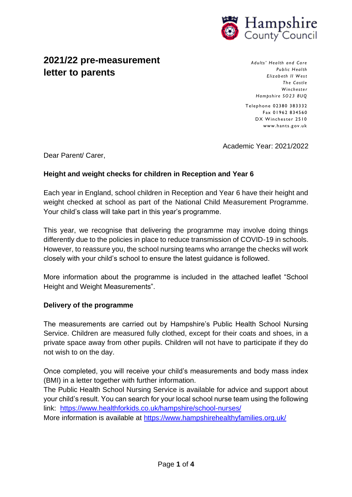

# **2021/22 pre-measurement letter to parents**

*Adults' Hea lth and Car e Public H eal th Elizab eth II W es t*  The Castle *Winchest er Hampshire* SO 23 8UQ

Telephone 02380 383332 Fax 01962 834560 DX Winchester 2510 www.hants .g ov.uk

Academic Year: 2021/2022

Dear Parent/ Carer,

# **Height and weight checks for children in Reception and Year 6**

Each year in England, school children in Reception and Year 6 have their height and weight checked at school as part of the National Child Measurement Programme. Your child's class will take part in this year's programme.

This year, we recognise that delivering the programme may involve doing things differently due to the policies in place to reduce transmission of COVID-19 in schools. However, to reassure you, the school nursing teams who arrange the checks will work closely with your child's school to ensure the latest guidance is followed.

More information about the programme is included in the attached leaflet "School Height and Weight Measurements".

## **Delivery of the programme**

The measurements are carried out by Hampshire's Public Health School Nursing Service. Children are measured fully clothed, except for their coats and shoes, in a private space away from other pupils. Children will not have to participate if they do not wish to on the day.

Once completed, you will receive your child's measurements and body mass index (BMI) in a letter together with further information.

The Public Health School Nursing Service is available for advice and support about your child's result. You can search for your local school nurse team using the following link: <https://www.healthforkids.co.uk/hampshire/school-nurses/>

More information is available at<https://www.hampshirehealthyfamilies.org.uk/>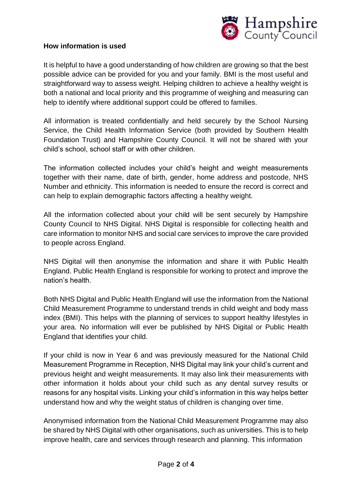

#### **How information is used**

It is helpful to have a good understanding of how children are growing so that the best possible advice can be provided for you and your family. BMI is the most useful and straightforward way to assess weight. Helping children to achieve a healthy weight is both a national and local priority and this programme of weighing and measuring can help to identify where additional support could be offered to families.

All information is treated confidentially and held securely by the School Nursing Service, the Child Health Information Service (both provided by Southern Health Foundation Trust) and Hampshire County Council. It will not be shared with your child's school, school staff or with other children.

The information collected includes your child's height and weight measurements together with their name, date of birth, gender, home address and postcode, NHS Number and ethnicity. This information is needed to ensure the record is correct and can help to explain demographic factors affecting a healthy weight.

All the information collected about your child will be sent securely by Hampshire County Council to NHS Digital. NHS Digital is responsible for collecting health and care information to monitor NHS and social care services to improve the care provided to people across England.

NHS Digital will then anonymise the information and share it with Public Health England. Public Health England is responsible for working to protect and improve the nation's health.

Both NHS Digital and Public Health England will use the information from the National Child Measurement Programme to understand trends in child weight and body mass index (BMI). This helps with the planning of services to support healthy lifestyles in your area. No information will ever be published by NHS Digital or Public Health England that identifies your child.

If your child is now in Year 6 and was previously measured for the National Child Measurement Programme in Reception, NHS Digital may link your child's current and previous height and weight measurements. It may also link their measurements with other information it holds about your child such as any dental survey results or reasons for any hospital visits. Linking your child's information in this way helps better understand how and why the weight status of children is changing over time.

Anonymised information from the National Child Measurement Programme may also be shared by NHS Digital with other organisations, such as universities. This is to help improve health, care and services through research and planning. This information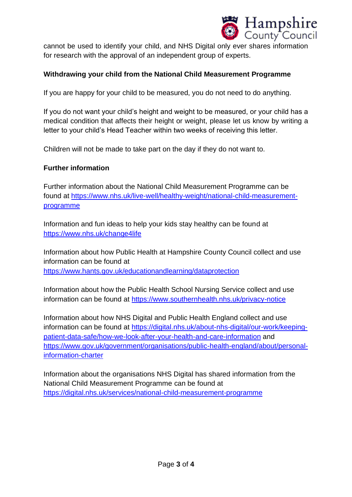

cannot be used to identify your child, and NHS Digital only ever shares information for research with the approval of an independent group of experts.

## **Withdrawing your child from the National Child Measurement Programme**

If you are happy for your child to be measured, you do not need to do anything.

If you do not want your child's height and weight to be measured, or your child has a medical condition that affects their height or weight, please let us know by writing a letter to your child's Head Teacher within two weeks of receiving this letter.

Children will not be made to take part on the day if they do not want to.

#### **Further information**

Further information about the National Child Measurement Programme can be found at [https://www.nhs.uk/live-well/healthy-weight/national-child-measurement](https://www.nhs.uk/live-well/healthy-weight/national-child-measurement-programme)[programme](https://www.nhs.uk/live-well/healthy-weight/national-child-measurement-programme)

Information and fun ideas to help your kids stay healthy can be found at <https://www.nhs.uk/change4life>

Information about how Public Health at Hampshire County Council collect and use information can be found at <https://www.hants.gov.uk/educationandlearning/dataprotection>

Information about how the Public Health School Nursing Service collect and use information can be found at<https://www.southernhealth.nhs.uk/privacy-notice>

Information about how NHS Digital and Public Health England collect and use information can be found at [https://digital.nhs.uk/about-nhs-digital/our-work/keeping](https://digital.nhs.uk/about-nhs-digital/our-work/keeping-patient-data-safe/how-we-look-after-your-health-and-care-information)[patient-data-safe/how-we-look-after-your-health-and-care-information](https://digital.nhs.uk/about-nhs-digital/our-work/keeping-patient-data-safe/how-we-look-after-your-health-and-care-information) and [https://www.gov.uk/government/organisations/public-health-england/about/personal](https://www.gov.uk/government/organisations/public-health-england/about/personal-information-charter)[information-charter](https://www.gov.uk/government/organisations/public-health-england/about/personal-information-charter)

Information about the organisations NHS Digital has shared information from the National Child Measurement Programme can be found at [https://digital.nhs.uk/services/national-child-measurement-programme](https://digital.nhs.uk/services/national-child-measurement-programme/)